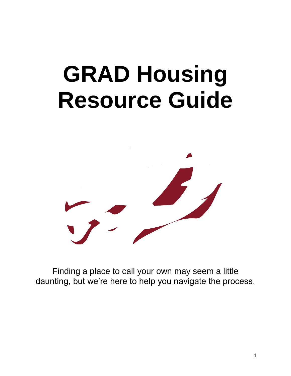# **GRAD Housing Resource Guide**



Finding a place to call your own may seem a little daunting, but we're here to help you navigate the process.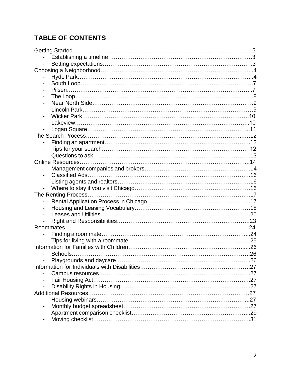# **TABLE OF CONTENTS**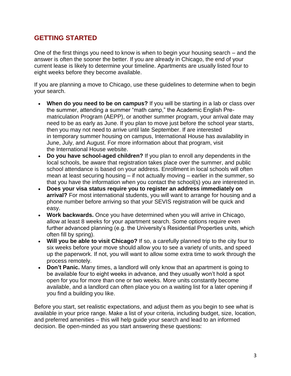# **GETTING STARTED**

One of the first things you need to know is when to begin your housing search – and the answer is often the sooner the better. If you are already in Chicago, the end of your current lease is likely to determine your timeline. Apartments are usually listed four to eight weeks before they become available.

If you are planning a move to Chicago, use these guidelines to determine when to begin your search.

- **When do you need to be on campus?** If you will be starting in a lab or class over the summer, attending a summer "math camp," the Academic English Prematriculation Program (AEPP), or another summer program, your arrival date may need to be as early as June. If you plan to move just before the school year starts, then you may not need to arrive until late September. If are interested in temporary summer housing on campus, International House has availability in June, July, and August. For more information about that program, visit the [International House website.](https://ihouse.uchicago.edu/admissions/)
- **Do you have school-aged children?** If you plan to enroll any dependents in the local schools, be aware that registration takes place over the summer, and public school attendance is based on your address. Enrollment in local schools will often mean at least securing housing – if not actually moving – earlier in the summer, so that you have the information when you contact the school(s) you are interested in.
- **Does your visa status require you to register an address immediately on arrival?** For most international students, you will want to arrange for housing and a phone number before arriving so that your SEVIS registration will be quick and easy.
- **Work backwards.** Once you have determined when you will arrive in Chicago, allow at least 8 weeks for your apartment search. Some options require even further advanced planning (e.g. the University's Residential Properties units, which often fill by spring).
- **Will you be able to visit Chicago?** If so, a carefully planned trip to the city four to six weeks before your move should allow you to see a variety of units, and speed up the paperwork. If not, you will want to allow some extra time to work through the process remotely.
- **Don't Panic.** Many times, a landlord will only know that an apartment is going to be available four to eight weeks in advance, and they usually won't hold a spot open for you for more than one or two weeks. More units constantly become available, and a landlord can often place you on a waiting list for a later opening if you find a building you like.

Before you start, set realistic expectations, and adjust them as you begin to see what is available in your price range. Make a list of your criteria, including budget, size, location, and preferred amenities – this will help guide your search and lead to an informed decision. Be open-minded as you start answering these questions: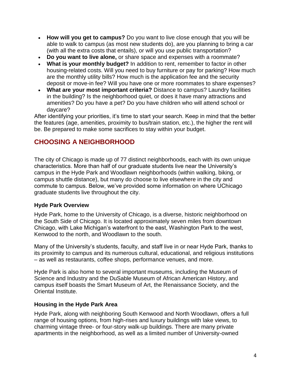- **How will you get to campus?** Do you want to live close enough that you will be able to walk to campus (as most new students do), are you planning to bring a car (with all the extra costs that entails), or will you use public transportation?
- **Do you want to live alone,** or share space and expenses with a roommate?
- **What is your monthly budget?** In addition to rent, remember to factor in other housing-related costs. Will you need to buy furniture or pay for parking? How much are the monthly utility bills? How much is the application fee and the security deposit or move-in fee? Will you have one or more roommates to share expenses?
- **What are your most important criteria?** Distance to campus? Laundry facilities in the building? Is the neighborhood quiet, or does it have many attractions and amenities? Do you have a pet? Do you have children who will attend school or daycare?

After identifying your priorities, it's time to start your search. Keep in mind that the better the features (age, amenities, proximity to bus/train station, etc.), the higher the rent will be. Be prepared to make some sacrifices to stay within your budget.

# **CHOOSING A NEIGHBORHOOD**

The city of Chicago is made up of 77 distinct neighborhoods, each with its own unique characteristics. More than half of our graduate students live near the University's campus in the Hyde Park and Woodlawn neighborhoods (within walking, biking, or campus shuttle distance), but many do choose to live elsewhere in the city and commute to campus. Below, we've provided some information on where UChicago graduate students live throughout the city.

# **Hyde Park Overview**

Hyde Park, home to the University of Chicago, is a diverse, historic neighborhood on the South Side of Chicago. It is located approximately seven miles from downtown Chicago, with Lake Michigan's waterfront to the east, Washington Park to the west, Kenwood to the north, and Woodlawn to the south.

Many of the University's students, faculty, and staff live in or near Hyde Park, thanks to its proximity to campus and its numerous cultural, educational, and religious institutions – as well as restaurants, coffee shops, performance venues, and more.

Hyde Park is also home to several important museums, including the Museum of Science and Industry and the DuSable Museum of African American History, and campus itself boasts the Smart Museum of Art, the Renaissance Society, and the Oriental Institute.

# **Housing in the Hyde Park Area**

Hyde Park, along with neighboring South Kenwood and North Woodlawn, offers a full range of housing options, from high-rises and luxury buildings with lake views, to charming vintage three- or four-story walk-up buildings. There are many private apartments in the neighborhood, as well as a limited number of University-owned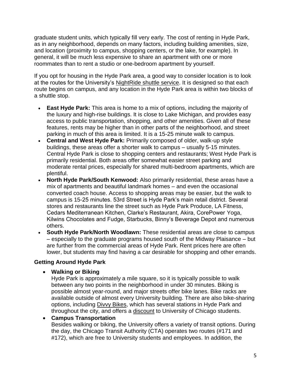graduate student units, which typically fill very early. The cost of renting in Hyde Park, as in any neighborhood, depends on many factors, including building amenities, size, and location (proximity to campus, shopping centers, or the lake, for example). In general, it will be much less expensive to share an apartment with one or more roommates than to rent a studio or one-bedroom apartment by yourself.

If you opt for housing in the Hyde Park area, a good way to consider location is to look at the routes for the University's [NightRide shuttle service.](https://d3qi0qp55mx5f5.cloudfront.net/safety-security/uploads/files/NightRide_2015.pdf) It is designed so that each route begins on campus, and any location in the Hyde Park area is within two blocks of a shuttle stop.

- **East Hyde Park:** This area is home to a mix of options, including the majority of the luxury and high-rise buildings. It is close to Lake Michigan, and provides easy access to public transportation, shopping, and other amenities. Given all of these features, rents may be higher than in other parts of the neighborhood, and street parking in much of this area is limited. It is a 15-25 minute walk to campus.
- **Central and West Hyde Park:** Primarily composed of older, walk-up style buildings, these areas offer a shorter walk to campus – usually 5-15 minutes. Central Hyde Park is close to shopping centers and restaurants; West Hyde Park is primarily residential. Both areas offer somewhat easier street parking and moderate rental prices, especially for shared multi-bedroom apartments, which are plentiful.
- **North Hyde Park/South Kenwood:** Also primarily residential, these areas have a mix of apartments and beautiful landmark homes – and even the occasional converted coach house. Access to shopping areas may be easier, but the walk to campus is 15-25 minutes. 53rd Street is Hyde Park's main retail district. Several stores and restaurants line the street such as Hyde Park Produce, LA Fitness, Cedars Mediterranean Kitchen, Clarke's Restaurant, Akira, CorePower Yoga, Kilwins Chocolates and Fudge, Starbucks, Binny's Beverage Depot and numerous others.
- **South Hyde Park/North Woodlawn:** These residential areas are close to campus – especially to the graduate programs housed south of the Midway Plaisance – but are further from the commercial areas of Hyde Park. Rent prices here are often lower, but students may find having a car desirable for shopping and other errands.

# **Getting Around Hyde Park**

**Walking or Biking**

Hyde Park is approximately a mile square, so it is typically possible to walk between any two points in the neighborhood in under 30 minutes. Biking is possible almost year-round, and major streets offer bike lanes. Bike racks are available outside of almost every University building. There are also bike-sharing options, including [Divvy Bikes,](http://sustainability.uchicago.edu/resources/bike_sharing/divvy_discount/) which has several stations in Hyde Park and throughout the city, and offers a [discount](http://sustainability.uchicago.edu/resources/bike_sharing/divvy_discount/) to University of Chicago students.

#### **Campus Transportation**

Besides walking or biking, the University offers a variety of transit options. During the day, the Chicago Transit Authority (CTA) operates two routes (#171 and #172), which are free to University students and employees. In addition, the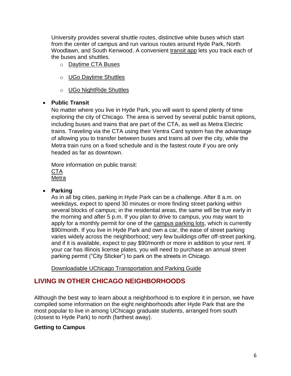University provides several shuttle routes, distinctive white buses which start from the center of campus and run various routes around Hyde Park, North Woodlawn, and South Kenwood. A convenient [transit app](https://uchicago.transloc.com/) lets you track each of the buses and shuttles.

- o [Daytime CTA Buses](http://safety-security.uchicago.edu/services/cta_buses/)
- o [UGo Daytime Shuttles](http://safety-security.uchicago.edu/services/ugo_daytime_shuttles/)
- o [UGo NightRide Shuttles](http://safety-security.uchicago.edu/services/ugo_nightride_shuttles/)

## **Public Transit**

No matter where you live in Hyde Park, you will want to spend plenty of time exploring the city of Chicago. The area is served by several public transit options, including buses and trains that are part of the CTA, as well as Metra Electric trains. Traveling via the CTA using their Ventra Card system has the advantage of allowing you to transfer between buses and trains all over the city, while the Metra train runs on a fixed schedule and is the fastest route if you are only headed as far as downtown.

More information on public transit: [CTA](http://www.transitchicago.com/howto/) [Metra](https://metrarail.com/content/metra/en/home/maps_schedules/metra_system_map/me/map.html)

#### **Parking**

As in all big cities, parking in Hyde Park can be a challenge. After 8 a.m. on weekdays, expect to spend 30 minutes or more finding street parking within several blocks of campus; in the residential areas, the same will be true early in the morning and after 5 p.m. If you plan to drive to campus, you may want to apply for a monthly permit for one of the [campus parking lots,](http://safety-security.uchicago.edu/services/campus_parking/) which is currently \$90/month. If you live in Hyde Park and own a car, the ease of street parking varies widely across the neighborhood; very few buildings offer off-street parking, and if it is available, expect to pay \$90/month or more in addition to your rent. If your car has Illinois license plates, you will need to purchase an annual street parking permit ("City Sticker") to park on the streets in Chicago.

[Downloadable UChicago Transportation and Parking Guide](https://d3qi0qp55mx5f5.cloudfront.net/safety-security/uploads/files/TP_brochure_2015_online_version.pdf)

# **LIVING IN OTHER CHICAGO NEIGHBORHOODS**

Although the best way to learn about a neighborhood is to explore it in person, we have compiled some information on the eight neighborhoods after Hyde Park that are the most popular to live in among UChicago graduate students, arranged from south (closest to Hyde Park) to north (farthest away).

# **Getting to Campus**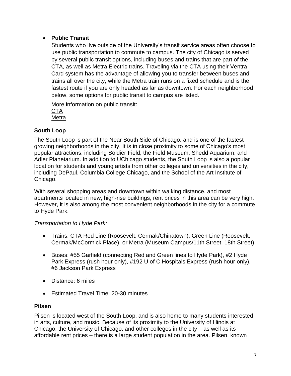# **Public Transit**

Students who live outside of the University's transit service areas often choose to use public transportation to commute to campus. The city of Chicago is served by several public transit options, including buses and trains that are part of the CTA, as well as Metra Electric trains. Traveling via the CTA using their Ventra Card system has the advantage of allowing you to transfer between buses and trains all over the city, while the Metra train runs on a fixed schedule and is the fastest route if you are only headed as far as downtown. For each neighborhood below, some options for public transit to campus are listed.

More information on public transit: [CTA](http://www.transitchicago.com/howto/) [Metra](https://metrarail.com/content/metra/en/home/maps_schedules/metra_system_map/me/map.html)

## **South Loop**

The South Loop is part of the Near South Side of Chicago, and is one of the fastest growing neighborhoods in the city. It is in close proximity to some of Chicago's most popular attractions, including Soldier Field, the Field Museum, Shedd Aquarium, and Adler Planetarium. In addition to UChicago students, the South Loop is also a popular location for students and young artists from other colleges and universities in the city, including DePaul, Columbia College Chicago, and the School of the Art Institute of Chicago.

With several shopping areas and downtown within walking distance, and most apartments located in new, high-rise buildings, rent prices in this area can be very high. However, it is also among the most convenient neighborhoods in the city for a commute to Hyde Park.

#### *Transportation to Hyde Park:*

- Trains: CTA Red Line (Roosevelt, Cermak/Chinatown), Green Line (Roosevelt, Cermak/McCormick Place), or Metra (Museum Campus/11th Street, 18th Street)
- Buses: #55 Garfield (connecting Red and Green lines to Hyde Park), #2 Hyde Park Express (rush hour only), #192 U of C Hospitals Express (rush hour only), #6 Jackson Park Express
- Distance: 6 miles
- Estimated Travel Time: 20-30 minutes

#### **Pilsen**

Pilsen is located west of the South Loop, and is also home to many students interested in arts, culture, and music. Because of its proximity to the University of Illinois at Chicago, the University of Chicago, and other colleges in the city – as well as its affordable rent prices – there is a large student population in the area. Pilsen, known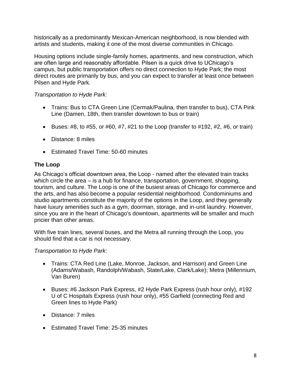historically as a predominantly Mexican-American neighborhood, is now blended with artists and students, making it one of the most diverse communities in Chicago.

Housing options include single-family homes, apartments, and new construction, which are often large and reasonably affordable. Pilsen is a quick drive to UChicago's campus, but public transportation offers no direct connection to Hyde Park; the most direct routes are primarily by bus, and you can expect to transfer at least once between Pilsen and Hyde Park.

## *Transportation to Hyde Park:*

- Trains: Bus to CTA Green Line (Cermak/Paulina, then transfer to bus), CTA Pink Line (Damen, 18th, then transfer downtown to bus or train)
- **Buses: #8, to #55, or #60, #7, #21 to the Loop (transfer to #192, #2, #6, or train)**
- Distance: 8 miles
- **Estimated Travel Time: 50-60 minutes**

## **The Loop**

As Chicago's official downtown area, the Loop - named after the elevated train tracks which circle the area – is a hub for finance, transportation, government, shopping, tourism, and culture. The Loop is one of the busiest areas of Chicago for commerce and the arts, and has also become a popular residential neighborhood. Condominiums and studio apartments constitute the majority of the options in the Loop, and they generally have luxury amenities such as a gym, doorman, storage, and in-unit laundry. However, since you are in the heart of Chicago's downtown, apartments will be smaller and much pricier than other areas.

With five train lines, several buses, and the Metra all running through the Loop, you should find that a car is not necessary.

#### *Transportation to Hyde Park:*

- Trains: CTA Red Line (Lake, Monroe, Jackson, and Harrison) and Green Line (Adams/Wabash, Randolph/Wabash, State/Lake, Clark/Lake); Metra (Millennium, Van Buren)
- Buses: #6 Jackson Park Express, #2 Hyde Park Express (rush hour only), #192 U of C Hospitals Express (rush hour only), #55 Garfield (connecting Red and Green lines to Hyde Park)
- Distance: 7 miles
- Estimated Travel Time: 25-35 minutes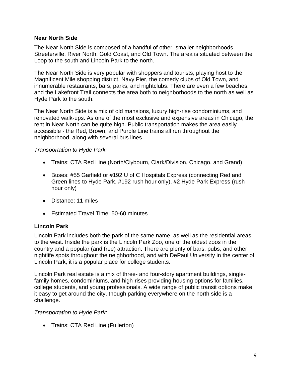#### **Near North Side**

The Near North Side is composed of a handful of other, smaller neighborhoods— Streeterville, River North, Gold Coast, and Old Town. The area is situated between the Loop to the south and Lincoln Park to the north.

The Near North Side is very popular with shoppers and tourists, playing host to the Magnificent Mile shopping district, Navy Pier, the comedy clubs of Old Town, and innumerable restaurants, bars, parks, and nightclubs. There are even a few beaches, and the Lakefront Trail connects the area both to neighborhoods to the north as well as Hyde Park to the south.

The Near North Side is a mix of old mansions, luxury high-rise condominiums, and renovated walk-ups. As one of the most exclusive and expensive areas in Chicago, the rent in Near North can be quite high. Public transportation makes the area easily accessible - the Red, Brown, and Purple Line trains all run throughout the neighborhood, along with several bus lines.

#### *Transportation to Hyde Park:*

- Trains: CTA Red Line (North/Clybourn, Clark/Division, Chicago, and Grand)
- Buses: #55 Garfield or #192 U of C Hospitals Express (connecting Red and Green lines to Hyde Park, #192 rush hour only), #2 Hyde Park Express (rush hour only)
- Distance: 11 miles
- Estimated Travel Time: 50-60 minutes

#### **Lincoln Park**

Lincoln Park includes both the park of the same name, as well as the residential areas to the west. Inside the park is the Lincoln Park Zoo, one of the oldest zoos in the country and a popular (and free) attraction. There are plenty of bars, pubs, and other nightlife spots throughout the neighborhood, and with DePaul University in the center of Lincoln Park, it is a popular place for college students.

Lincoln Park real estate is a mix of three- and four-story apartment buildings, singlefamily homes, condominiums, and high-rises providing housing options for families, college students, and young professionals. A wide range of public transit options make it easy to get around the city, though parking everywhere on the north side is a challenge.

*Transportation to Hyde Park:*

• Trains: CTA Red Line (Fullerton)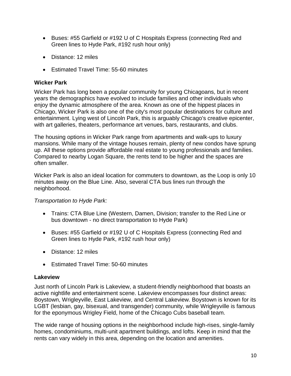- Buses: #55 Garfield or #192 U of C Hospitals Express (connecting Red and Green lines to Hyde Park, #192 rush hour only)
- Distance: 12 miles
- **Estimated Travel Time: 55-60 minutes**

#### **Wicker Park**

Wicker Park has long been a popular community for young Chicagoans, but in recent years the demographics have evolved to include families and other individuals who enjoy the dynamic atmosphere of the area. Known as one of the hippest places in Chicago, Wicker Park is also one of the city's most popular destinations for culture and entertainment. Lying west of Lincoln Park, this is arguably Chicago's creative epicenter, with art galleries, theaters, performance art venues, bars, restaurants, and clubs.

The housing options in Wicker Park range from apartments and walk-ups to luxury mansions. While many of the vintage houses remain, plenty of new condos have sprung up. All these options provide affordable real estate to young professionals and families. Compared to nearby Logan Square, the rents tend to be higher and the spaces are often smaller.

Wicker Park is also an ideal location for commuters to downtown, as the Loop is only 10 minutes away on the Blue Line. Also, several CTA bus lines run through the neighborhood.

#### *Transportation to Hyde Park:*

- Trains: CTA Blue Line (Western, Damen, Division; transfer to the Red Line or bus downtown - no direct transportation to Hyde Park)
- Buses: #55 Garfield or #192 U of C Hospitals Express (connecting Red and Green lines to Hyde Park, #192 rush hour only)
- Distance: 12 miles
- **Estimated Travel Time: 50-60 minutes**

#### **Lakeview**

Just north of Lincoln Park is Lakeview, a student-friendly neighborhood that boasts an active nightlife and entertainment scene. Lakeview encompasses four distinct areas: Boystown, Wrigleyville, East Lakeview, and Central Lakeview. Boystown is known for its LGBT (lesbian, gay, bisexual, and transgender) community, while Wrigleyville is famous for the eponymous Wrigley Field, home of the Chicago Cubs baseball team.

The wide range of housing options in the neighborhood include high-rises, single-family homes, condominiums, multi-unit apartment buildings, and lofts. Keep in mind that the rents can vary widely in this area, depending on the location and amenities.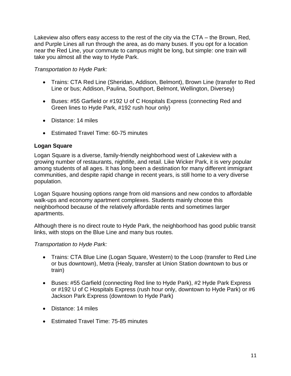Lakeview also offers easy access to the rest of the city via the CTA – the Brown, Red, and Purple Lines all run through the area, as do many buses. If you opt for a location near the Red Line, your commute to campus might be long, but simple: one train will take you almost all the way to Hyde Park.

#### *Transportation to Hyde Park:*

- Trains: CTA Red Line (Sheridan, Addison, Belmont), Brown Line (transfer to Red Line or bus; Addison, Paulina, Southport, Belmont, Wellington, Diversey)
- Buses: #55 Garfield or #192 U of C Hospitals Express (connecting Red and Green lines to Hyde Park, #192 rush hour only)
- Distance: 14 miles
- Estimated Travel Time: 60-75 minutes

#### **Logan Square**

Logan Square is a diverse, family-friendly neighborhood west of Lakeview with a growing number of restaurants, nightlife, and retail. Like Wicker Park, it is very popular among students of all ages. It has long been a destination for many different immigrant communities, and despite rapid change in recent years, is still home to a very diverse population.

Logan Square housing options range from old mansions and new condos to affordable walk-ups and economy apartment complexes. Students mainly choose this neighborhood because of the relatively affordable rents and sometimes larger apartments.

Although there is no direct route to Hyde Park, the neighborhood has good public transit links, with stops on the Blue Line and many bus routes.

#### *Transportation to Hyde Park:*

- Trains: CTA Blue Line (Logan Square, Western) to the Loop (transfer to Red Line or bus downtown), Metra (Healy, transfer at Union Station downtown to bus or train)
- Buses: #55 Garfield (connecting Red line to Hyde Park), #2 Hyde Park Express or #192 U of C Hospitals Express (rush hour only, downtown to Hyde Park) or #6 Jackson Park Express (downtown to Hyde Park)
- Distance: 14 miles
- Estimated Travel Time: 75-85 minutes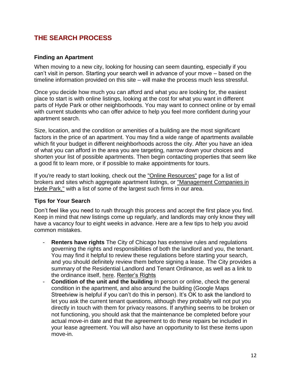# **THE SEARCH PROCESS**

#### **Finding an Apartment**

When moving to a new city, looking for housing can seem daunting, especially if you can't visit in person. Starting your search well in advance of your move – based on the timeline information provided on this site – will make the process much less stressful.

Once you decide how much you can afford and what you are looking for, the easiest place to start is with online listings, looking at the cost for what you want in different parts of Hyde Park or other neighborhoods. You may want to connect online or by email with current students who can offer advice to help you feel more confident during your apartment search.

Size, location, and the condition or amenities of a building are the most significant factors in the price of an apartment. You may find a wide range of apartments available which fit your budget in different neighborhoods across the city. After you have an idea of what you can afford in the area you are targeting, narrow down your choices and shorten your list of possible apartments. Then begin contacting properties that seem like a good fit to learn more, or if possible to make appointments for tours.

If you're ready to start looking, check out the ["Online Resources"](https://grad.uchicago.edu/life-community/housing/searching/resources) page for a list of brokers and sites which aggregate apartment listings, or ["Management Companies in](https://grad.uchicago.edu/life-community/housing/searching/resources/management-hyde-park)  [Hyde Park,"](https://grad.uchicago.edu/life-community/housing/searching/resources/management-hyde-park) with a list of some of the largest such firms in our area.

#### **Tips for Your Search**

Don't feel like you need to rush through this process and accept the first place you find. Keep in mind that new listings come up regularly, and landlords may only know they will have a vacancy four to eight weeks in advance. Here are a few tips to help you avoid common mistakes.

- **Renters have rights** The City of Chicago has extensive rules and regulations governing the rights and responsibilities of both the landlord and you, the tenant. You may find it helpful to review these regulations before starting your search, and you should definitely review them before signing a lease. The City provides a summary of the Residential Landlord and Tenant Ordinance, as well as a link to the ordinance itself, [here.](http://www.cityofchicago.org/city/en/depts/dcd/supp_info/rents_right.html) [Renter's Rights](http://www.cityofchicago.org/city/en/depts/dcd/supp_info/rents_right.html)
- **Condition of the unit and the building** In person or online, check the general condition in the apartment, and also around the building (Google Maps Streetview is helpful if you can't do this in person). It's OK to ask the landlord to let you ask the current tenant questions, although they probably will not put you directly in touch with them for privacy reasons. If anything seems to be broken or not functioning, you should ask that the maintenance be completed before your actual move-in date and that the agreement to do these repairs be included in your lease agreement. You will also have an opportunity to list these items upon move-in.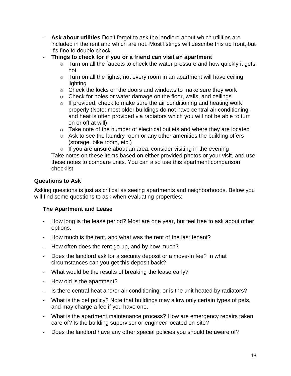- **Ask about utilities** Don't forget to ask the landlord about which utilities are included in the rent and which are not. Most listings will describe this up front, but it's fine to double check.
- **Things to check for if you or a friend can visit an apartment**
	- $\circ$  Turn on all the faucets to check the water pressure and how quickly it gets hot
	- $\circ$  Turn on all the lights; not every room in an apartment will have ceiling lighting
	- $\circ$  Check the locks on the doors and windows to make sure they work
	- $\circ$  Check for holes or water damage on the floor, walls, and ceilings
	- $\circ$  If provided, check to make sure the air conditioning and heating work properly (Note: most older buildings do not have central air conditioning, and heat is often provided via radiators which you will not be able to turn on or off at will)
	- o Take note of the number of electrical outlets and where they are located
	- o Ask to see the laundry room or any other amenities the building offers (storage, bike room, etc.)

 $\circ$  If you are unsure about an area, consider visiting in the evening Take notes on these items based on either provided photos or your visit, and use these notes to compare units. You can also use this apartment comparison checklist.

#### **Questions to Ask**

Asking questions is just as critical as seeing apartments and neighborhoods. Below you will find some questions to ask when evaluating properties:

#### **The Apartment and Lease**

- How long is the lease period? Most are one year, but feel free to ask about other options.
- How much is the rent, and what was the rent of the last tenant?
- How often does the rent go up, and by how much?
- Does the landlord ask for a security deposit or a move-in fee? In what circumstances can you get this deposit back?
- What would be the results of breaking the lease early?
- How old is the apartment?
- Is there central heat and/or air conditioning, or is the unit heated by radiators?
- What is the pet policy? Note that buildings may allow only certain types of pets, and may charge a fee if you have one.
- What is the apartment maintenance process? How are emergency repairs taken care of? Is the building supervisor or engineer located on-site?
- Does the landlord have any other special policies you should be aware of?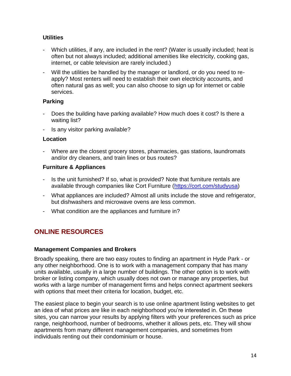## **Utilities**

- Which utilities, if any, are included in the rent? (Water is usually included; heat is often but not always included; additional amenities like electricity, cooking gas, internet, or cable television are rarely included.)
- Will the utilities be handled by the manager or landlord, or do you need to reapply? Most renters will need to establish their own electricity accounts, and often natural gas as well; you can also choose to sign up for internet or cable services.

#### **Parking**

- Does the building have parking available? How much does it cost? Is there a waiting list?
- Is any visitor parking available?

#### **Location**

- Where are the closest grocery stores, pharmacies, gas stations, laundromats and/or dry cleaners, and train lines or bus routes?

#### **Furniture & Appliances**

- Is the unit furnished? If so, what is provided? Note that furniture rentals are available through companies like Cort Furniture [\(https://cort.com/studyusa\)](https://cort.com/studyusa)
- What appliances are included? Almost all units include the stove and refrigerator, but dishwashers and microwave ovens are less common.
- What condition are the appliances and furniture in?

# **ONLINE RESOURCES**

#### **Management Companies and Brokers**

Broadly speaking, there are two easy routes to finding an apartment in Hyde Park - or any other neighborhood. One is to work with a management company that has many units available, usually in a large number of buildings. The other option is to work with broker or listing company, which usually does not own or manage any properties, but works with a large number of management firms and helps connect apartment seekers with options that meet their criteria for location, budget, etc.

The easiest place to begin your search is to use online apartment listing websites to get an idea of what prices are like in each neighborhood you're interested in. On these sites, you can narrow your results by applying filters with your preferences such as price range, neighborhood, number of bedrooms, whether it allows pets, etc. They will show apartments from many different management companies, and sometimes from individuals renting out their condominium or house.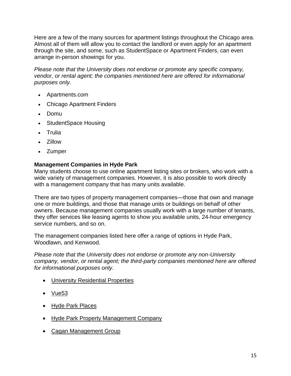Here are a few of the many sources for apartment listings throughout the Chicago area. Almost all of them will allow you to contact the landlord or even apply for an apartment through the site, and some, such as StudentSpace or Apartment Finders, can even arrange in-person showings for you.

*Please note that the University does not endorse or promote any specific company, vendor, or rental agent; the companies mentioned here are offered for informational purposes only.*

- [Apartments.com](http://www.apartments.com/)
- [Chicago Apartment Finders](http://www.chicagoapartmentfinders.com/)
- [Domu](http://www.domu.com/)
- [StudentSpace Housing](http://www.student-space.com/)
- [Trulia](http://www.trulia.com/)
- [Zillow](http://www.zillow.com/)
- [Zumper](https://www.zumper.com/)

#### **Management Companies in Hyde Park**

Many students choose to use online apartment listing sites or brokers, who work with a wide variety of management companies. However, it is also possible to work directly with a management company that has many units available.

There are two types of property management companies—those that own and manage one or more buildings, and those that manage units or buildings on behalf of other owners. Because management companies usually work with a large number of tenants, they offer services like leasing agents to show you available units, 24-hour emergency service numbers, and so on.

The management companies listed here offer a range of options in Hyde Park, Woodlawn, and Kenwood.

*Please note that the University does not endorse or promote any non-University company, vendor, or rental agent; the third-party companies mentioned here are offered for informational purposes only.*

- [University Residential Properties](http://rp.uchicago.edu/graduate_housing/property_comparisons.shtml)
- $\bullet$  [Vue53](http://vue53.com/)
- [Hyde Park Places](https://hydeparkplaces.com/)
- [Hyde Park Property Management Company](http://www.hydeparkmanagement.com/)
- [Cagan Management Group](http://www.hydeparkmanagement.com/)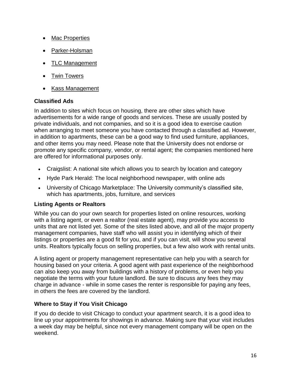- [Mac Properties](http://www.macapartments.com/)
- [Parker-Holsman](http://parkerholsman.com/)
- [TLC Management](http://chicagorentals.com/)
- [Twin Towers](http://www.twintowerschicago.com/)
- Kass Management

#### **Classified Ads**

In addition to sites which focus on housing, there are other sites which have advertisements for a wide range of goods and services. These are usually posted by private individuals, and not companies, and so it is a good idea to exercise caution when arranging to meet someone you have contacted through a classified ad. However, in addition to apartments, these can be a good way to find used furniture, appliances, and other items you may need. Please note that the University does not endorse or promote any specific company, vendor, or rental agent; the companies mentioned here are offered for informational purposes only.

- [Craigslist:](http://chicago.craigslist.org/) A national site which allows you to search by location and category
- [Hyde Park Herald:](http://www.hpherald.com/) The local neighborhood newspaper, with online ads
- [University of Chicago Marketplace:](http://marketplace.uchicago.edu/) The University community's classified site, which has apartments, jobs, furniture, and services

#### **Listing Agents or Realtors**

While you can do your own search for properties listed on online resources, working with a listing agent, or even a realtor (real estate agent), may provide you access to units that are not listed yet. Some of the sites listed above, and all of the major property management companies, have staff who will assist you in identifying which of their listings or properties are a good fit for you, and if you can visit, will show you several units. Realtors typically focus on selling properties, but a few also work with rental units.

A listing agent or property management representative can help you with a search for housing based on your criteria. A good agent with past experience of the neighborhood can also keep you away from buildings with a history of problems, or even help you negotiate the terms with your future landlord. Be sure to discuss any fees they may charge in advance - while in some cases the renter is responsible for paying any fees, in others the fees are covered by the landlord.

# **Where to Stay if You Visit Chicago**

If you do decide to visit Chicago to conduct your apartment search, it is a good idea to line up your appointments for showings in advance. Making sure that your visit includes a week day may be helpful, since not every management company will be open on the weekend.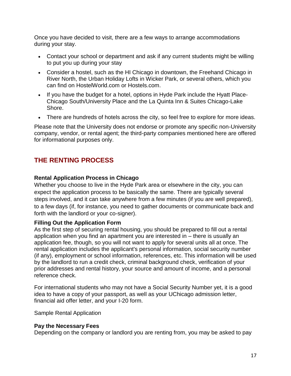Once you have decided to visit, there are a few ways to arrange accommodations during your stay.

- Contact your school or department and ask if any current students might be willing to put you up during your stay
- Consider a hostel, such as the HI Chicago in downtown, the Freehand Chicago in River North, the Urban Holiday Lofts in Wicker Park, or several others, which you can find on [HostelWorld.com](http://www.hostelworld.com/) or [Hostels.com.](http://www.hostels.com/)
- If you have the budget for a hotel, options in Hyde Park include the [Hyatt Place-](http://chicagosouthuniversity.place.hyatt.com/en/hotel/home.html)[Chicago South/University Place](http://chicagosouthuniversity.place.hyatt.com/en/hotel/home.html) and the [La Quinta Inn & Suites Chicago-Lake](http://www.lq.com/en/findandbook/hotel-details.6735.address.html?from=%2Fcontent%2Flq%2Flq-com%2Fen%2Fnavigation%2Ffindandbook&sessionId=68d08f7d-6d4c-4366-fb47-6dc37ead48e1&searchType=GEO&bookingPage=address&lat=41.7895846&lon=-87.59643289999997&searchCountryCode=&stateAndCountryCode=Illinois%2C+&searchAddress=5800+s+woodlawn+ave&searchCity=chicago&searchState=IL&searchPostal=&searchRadius=10&indate=01%2F30%2F2016&outdate=01%2F31%2F2016&rooms=1&adults=1&numChildren=0&specialRates=RAC&promoCode=)  [Shore.](http://www.lq.com/en/findandbook/hotel-details.6735.address.html?from=%2Fcontent%2Flq%2Flq-com%2Fen%2Fnavigation%2Ffindandbook&sessionId=68d08f7d-6d4c-4366-fb47-6dc37ead48e1&searchType=GEO&bookingPage=address&lat=41.7895846&lon=-87.59643289999997&searchCountryCode=&stateAndCountryCode=Illinois%2C+&searchAddress=5800+s+woodlawn+ave&searchCity=chicago&searchState=IL&searchPostal=&searchRadius=10&indate=01%2F30%2F2016&outdate=01%2F31%2F2016&rooms=1&adults=1&numChildren=0&specialRates=RAC&promoCode=)
- There are hundreds of hotels across the city, so feel free to explore for more ideas.

Please note that the University does not endorse or promote any specific non-University company, vendor, or rental agent; the third-party companies mentioned here are offered for informational purposes only.

# **THE RENTING PROCESS**

#### **Rental Application Process in Chicago**

Whether you choose to live in the Hyde Park area or elsewhere in the city, you can expect the application process to be basically the same. There are typically several steps involved, and it can take anywhere from a few minutes (if you are well prepared), to a few days (if, for instance, you need to gather documents or communicate back and forth with the landlord or your co-signer).

#### **Filling Out the Application Form**

As the first step of securing rental housing, you should be prepared to fill out a rental application when you find an apartment you are interested in – there is usually an application fee, though, so you will not want to apply for several units all at once. The rental application includes the applicant's personal information, social security number (if any), employment or school information, references, etc. This information will be used by the landlord to run a credit check, criminal background check, verification of your prior addresses and rental history, your source and amount of income, and a personal reference check.

For international students who may not have a Social Security Number yet, it is a good idea to have a copy of your passport, as well as your UChicago admission letter, financial aid offer letter, and your I-20 form.

[Sample Rental Application](http://www.mrlandlord.com/rentalapplication/app1.pdf)

#### **Pay the Necessary Fees**

Depending on the company or landlord you are renting from, you may be asked to pay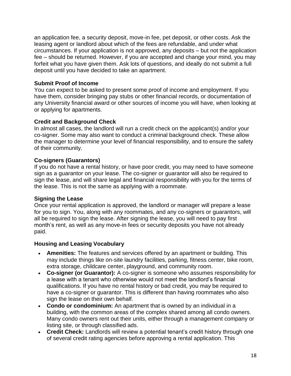an application fee, a security deposit, move-in fee, pet deposit, or other costs. Ask the leasing agent or landlord about which of the fees are refundable, and under what circumstances. If your application is not approved, any deposits – but not the application fee – should be returned. However, if you are accepted and change your mind, you may forfeit what you have given them. Ask lots of questions, and ideally do not submit a full deposit until you have decided to take an apartment.

#### **Submit Proof of Income**

You can expect to be asked to present some proof of income and employment. If you have them, consider bringing pay stubs or other financial records, or documentation of any University financial award or other sources of income you will have, when looking at or applying for apartments.

#### **Credit and Background Check**

In almost all cases, the landlord will run a credit check on the applicant(s) and/or your co-signer. Some may also want to conduct a criminal background check. These allow the manager to determine your level of financial responsibility, and to ensure the safety of their community.

#### **Co-signers (Guarantors)**

If you do not have a rental history, or have poor credit, you may need to have someone sign as a guarantor on your lease. The co-signer or guarantor will also be required to sign the lease, and will share legal and financial responsibility with you for the terms of the lease. This is not the same as applying with a roommate.

#### **Signing the Lease**

Once your rental application is approved, the landlord or manager will prepare a lease for you to sign. You, along with any roommates, and any co-signers or guarantors, will all be required to sign the lease. After signing the lease, you will need to pay first month's rent, as well as any move-in fees or security deposits you have not already paid.

#### **Housing and Leasing Vocabulary**

- **Amenities:** The features and services offered by an apartment or building. This may include things like on-site laundry facilities, parking, fitness center, bike room, extra storage, childcare center, playground, and community room.
- **Co-signer (or Guarantor):** A co-signer is someone who assumes responsibility for a lease with a tenant who otherwise would not meet the landlord's financial qualifications. If you have no rental history or bad credit, you may be required to have a co-signer or guarantor. This is different than having roommates who also sign the lease on their own behalf.
- **Condo or condominium:** An apartment that is owned by an individual in a building, with the common areas of the complex shared among all condo owners. Many condo owners rent out their units, either through a management company or listing site, or through classified ads.
- **Credit Check:** Landlords will review a potential tenant's credit history through one of several credit rating agencies before approving a rental application. This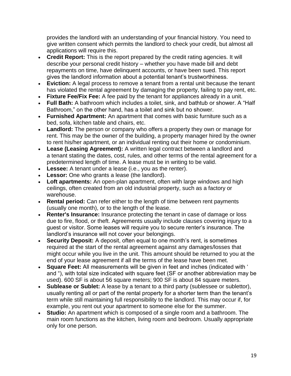provides the landlord with an understanding of your financial history. You need to give written consent which permits the landlord to check your credit, but almost all applications will require this.

- **Credit Report:** This is the report prepared by the credit rating agencies. It will describe your personal credit history – whether you have made bill and debt repayments on time, have delinquent accounts, or have been sued. This report gives the landlord information about a potential tenant's trustworthiness.
- **Eviction:** A legal process to remove a tenant from a rental unit because the tenant has violated the rental agreement by damaging the property, failing to pay rent, etc.
- **Fixture Fee/Fix Fee:** A fee paid by the tenant for appliances already in a unit.
- **Full Bath:** A bathroom which includes a toilet, sink, and bathtub or shower. A "Half Bathroom," on the other hand, has a toilet and sink but no shower.
- **Furnished Apartment:** An apartment that comes with basic furniture such as a bed, sofa, kitchen table and chairs, etc.
- **Landlord:** The person or company who offers a property they own or manage for rent. This may be the owner of the building, a property manager hired by the owner to rent his/her apartment, or an individual renting out their home or condominium.
- **Lease (Leasing Agreement):** A written legal contract between a landlord and a tenant stating the dates, cost, rules, and other terms of the rental agreement for a predetermined length of time. A lease must be in writing to be valid.
- **Lessee:** A tenant under a lease (i.e., you as the renter).
- **Lessor:** One who grants a lease (the landlord).
- **Loft apartments:** An open-plan apartment, often with large windows and high ceilings, often created from an old industrial property, such as a factory or warehouse.
- **Rental period:** Can refer either to the length of time between rent payments (usually one month), or to the length of the lease.
- **Renter's Insurance:** Insurance protecting the tenant in case of damage or loss due to fire, flood, or theft. Agreements usually include clauses covering injury to a guest or visitor. Some leases will require you to secure renter's insurance. The landlord's insurance will not cover your belongings.
- **Security Deposit:** A deposit, often equal to one month's rent, is sometimes required at the start of the rental agreement against any damages/losses that might occur while you live in the unit. This amount should be returned to you at the end of your lease agreement if all the terms of the lease have been met.
- **Square Feet:** All measurements will be given in feet and inches (indicated with ' and "), with total size indicated with square feet (SF or another abbreviation may be used). 600 SF is about 56 square meters; 900 SF is about 84 square meters.
- **Sublease or Sublet:** A lease by a tenant to a third party (sublessee or sublettor), usually renting all or part of the rental property for a shorter term than the tenant's term while still maintaining full responsibility to the landlord. This may occur if, for example, you rent out your apartment to someone else for the summer.
- **Studio:** An apartment which is composed of a single room and a bathroom. The main room functions as the kitchen, living room and bedroom. Usually appropriate only for one person.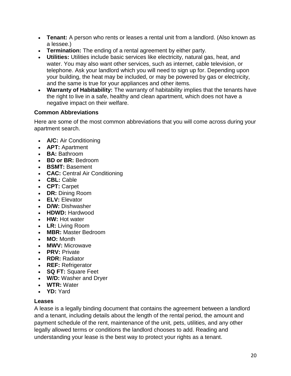- **Tenant:** A person who rents or leases a rental unit from a landlord. (Also known as a lessee.)
- **Termination:** The ending of a rental agreement by either party.
- **Utilities:** Utilities include basic services like electricity, natural gas, heat, and water. You may also want other services, such as internet, cable television, or telephone. Ask your landlord which you will need to sign up for. Depending upon your building, the heat may be included, or may be powered by gas or electricity, and the same is true for your appliances and other items.
- **Warranty of Habitability:** The warranty of habitability implies that the tenants have the right to live in a safe, healthy and clean apartment, which does not have a negative impact on their welfare.

## **Common Abbreviations**

Here are some of the most common abbreviations that you will come across during your apartment search.

- **A/C:** Air Conditioning
- **APT:** Apartment
- **BA:** Bathroom
- **BD or BR:** Bedroom
- **BSMT:** Basement
- **CAC:** Central Air Conditioning
- **CBL:** Cable
- **CPT:** Carpet
- **DR:** Dining Room
- **ELV:** Elevator
- **D/W:** Dishwasher
- **HDWD:** Hardwood
- **HW:** Hot water
- **LR:** Living Room
- **MBR:** Master Bedroom
- **MO:** Month
- **MWV:** Microwave
- **PRV:** Private
- **RDR:** Radiator
- **REF:** Refrigerator
- **SQ FT:** Square Feet
- **W/D:** Washer and Dryer
- **WTR:** Water
- **YD:** Yard

#### **Leases**

A lease is a legally binding document that contains the agreement between a landlord and a tenant, including details about the length of the rental period, the amount and payment schedule of the rent, maintenance of the unit, pets, utilities, and any other legally allowed terms or conditions the landlord chooses to add. Reading and understanding your lease is the best way to protect your rights as a tenant.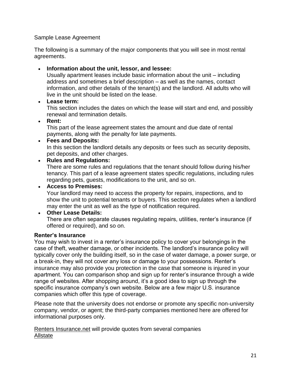#### [Sample Lease Agreement](http://www.dreamspotsinc.com/pdf/forms/Chicago-Residential-Lease_2015.pdf)

The following is a summary of the major components that you will see in most rental agreements.

#### **Information about the unit, lessor, and lessee:**

Usually apartment leases include basic information about the unit – including address and sometimes a brief description – as well as the names, contact information, and other details of the tenant(s) and the landlord. All adults who will live in the unit should be listed on the lease.

#### **Lease term:**

This section includes the dates on which the lease will start and end, and possibly renewal and termination details.

#### **Rent:**

This part of the lease agreement states the amount and due date of rental payments, along with the penalty for late payments.

#### **Fees and Deposits:**

In this section the landlord details any deposits or fees such as security deposits, pet deposits, and other charges.

#### **Rules and Regulations:**

There are some rules and regulations that the tenant should follow during his/her tenancy. This part of a lease agreement states specific regulations, including rules regarding pets, guests, modifications to the unit, and so on.

**Access to Premises:**

Your landlord may need to access the property for repairs, inspections, and to show the unit to potential tenants or buyers. This section regulates when a landlord may enter the unit as well as the type of notification required.

#### **Other Lease Details:**

There are often separate clauses regulating repairs, utilities, renter's insurance (if offered or required), and so on.

#### **Renter's Insurance**

You may wish to invest in a renter's insurance policy to cover your belongings in the case of theft, weather damage, or other incidents. The landlord's insurance policy will typically cover only the building itself, so in the case of water damage, a power surge, or a break-in, they will not cover any loss or damage to your possessions. Renter's insurance may also provide you protection in the case that someone is injured in your apartment. You can comparison shop and sign up for renter's insurance through a wide range of websites. After shopping around, it's a good idea to sign up through the specific insurance company's own website. Below are a few major U.S. insurance companies which offer this type of coverage.

Please note that the university does not endorse or promote any specific non-university company, vendor, or agent; the third-party companies mentioned here are offered for informational purposes only.

[Renters Insurance.net](http://www.rentersinsurance.net/) will provide quotes from several companies **[Allstate](https://landing.allstate.com/renters/desktop?CMP=KNC-GG-RE-034615-150407%3arenters+insurance+chicago&CAMPAIGN=444490000034615&ad=&TFN=18008670085&zipcode=&Affcode=p7739451287&gclid=Cj0KEQiAxMG1BRDFmu3P3qjwmeMBEiQAEzSDLvaVKPEvFIwxr2ISaSKZVijODYROuSOUR8lQmJA9PbEaAi-B8P8HAQ&gclsrc=aw.ds)**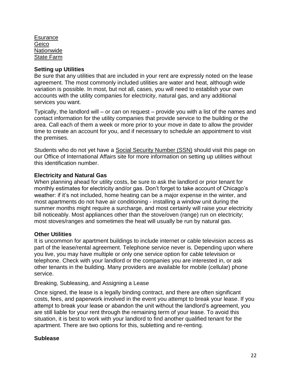**[Esurance](https://www.esurance.com/insurance/renters/states/illinois)** [Geico](https://homeowners.geico.com/SalesHISS/Landing?lob=Renters&soa=02147&43700003471975775&p3471975775&gclid=Cj0KEQiAxMG1BRDFmu3P3qjwmeMBEiQAEzSDLhYqH1oTd2kVyhQjpMlpANzdt1KsLhiY8oIj0EsKi5QaAhqI8P8HAQ&gclsrc=aw.ds&dclid=CPya_PfE2coCFWNsMAod7ekEzQ) [Nationwide](https://www.nationwide.com/illinois-renters-insurance.jsp) [State Farm](https://www.statefarm.com/insurance/home-and-property/renters)

#### **Setting up Utilities**

Be sure that any utilities that are included in your rent are expressly noted on the lease agreement. The most commonly included utilities are water and heat, although wide variation is possible. In most, but not all, cases, you will need to establish your own accounts with the utility companies for electricity, natural gas, and any additional services you want.

Typically, the landlord will – or can on request – provide you with a list of the names and contact information for the utility companies that provide service to the building or the area. Call each of them a week or more prior to your move in date to allow the provider time to create an account for you, and if necessary to schedule an appointment to visit the premises.

Students who do not yet have a [Social Security Number \(SSN\)](https://internationalaffairs.uchicago.edu/page/living-hyde-park#utilities) should visit this page on our Office of International Affairs site for more information on setting up utilities without this identification number.

#### **Electricity and Natural Gas**

When planning ahead for utility costs, be sure to ask the landlord or prior tenant for monthly estimates for electricity and/or gas. Don't forget to take account of Chicago's weather: if it's not included, home heating can be a major expense in the winter, and most apartments do not have air conditioning - installing a window unit during the summer months might require a surcharge, and most certainly will raise your electricity bill noticeably. Most appliances other than the stove/oven (range) run on electricity; most stoves/ranges and sometimes the heat will usually be run by natural gas.

#### **Other Utilities**

It is uncommon for apartment buildings to include internet or cable television access as part of the lease/rental agreement. Telephone service never is. Depending upon where you live, you may have multiple or only one service option for cable television or telephone. Check with your landlord or the companies you are interested in, or ask other tenants in the building. Many providers are available for mobile (cellular) phone service.

Breaking, Subleasing, and Assigning a Lease

Once signed, the lease is a legally binding contract, and there are often significant costs, fees, and paperwork involved in the event you attempt to break your lease. If you attempt to break your lease or abandon the unit without the landlord's agreement, you are still liable for your rent through the remaining term of your lease. To avoid this situation, it is best to work with your landlord to find another qualified tenant for the apartment. There are two options for this, subletting and re-renting.

#### **Sublease**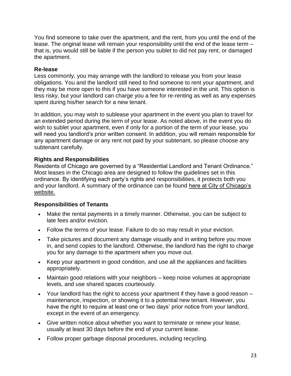You find someone to take over the apartment, and the rent, from you until the end of the lease. The original lease will remain your responsibility until the end of the lease term – that is, you would still be liable if the person you sublet to did not pay rent, or damaged the apartment.

#### **Re-lease**

Less commonly, you may arrange with the landlord to release you from your lease obligations. You and the landlord still need to find someone to rent your apartment, and they may be more open to this if you have someone interested in the unit. This option is less risky, but your landlord can charge you a fee for re-renting as well as any expenses spent during his/her search for a new tenant.

In addition, you may wish to sublease your apartment in the event you plan to travel for an extended period during the term of your lease. As noted above, in the event you do wish to sublet your apartment, even if only for a portion of the term of your lease, you will need you landlord's prior written consent. In addition, you will remain responsible for any apartment damage or any rent not paid by your subtenant, so please choose any subtenant carefully.

#### **Rights and Responsibilities**

Residents of Chicago are governed by a "Residential Landlord and Tenant Ordinance." Most leases in the Chicago area are designed to follow the guidelines set in this ordinance. By identifying each party's rights and responsibilities, it protects both you and your landlord. A summary of the ordinance can be found [here at City of Chicago's](http://www.cityofchicago.org/content/dam/city/depts/dcd/general/housing/RTLOEnglish.pdf)  [website.](http://www.cityofchicago.org/content/dam/city/depts/dcd/general/housing/RTLOEnglish.pdf)

#### **Responsibilities of Tenants**

- Make the rental payments in a timely manner. Otherwise, you can be subject to late fees and/or eviction.
- Follow the terms of your lease. Failure to do so may result in your eviction.
- Take pictures and document any damage visually and in writing before you move in, and send copies to the landlord. Otherwise, the landlord has the right to charge you for any damage to the apartment when you move out.
- Keep your apartment in good condition, and use all the appliances and facilities appropriately.
- Maintain good relations with your neighbors keep noise volumes at appropriate levels, and use shared spaces courteously.
- Your landlord has the right to access your apartment if they have a good reason maintenance, inspection, or showing it to a potential new tenant. However, you have the right to require at least one or two days' prior notice from your landlord, except in the event of an emergency.
- Give written notice about whether you want to terminate or renew your lease, usually at least 30 days before the end of your current lease.
- Follow proper garbage disposal procedures, including recycling.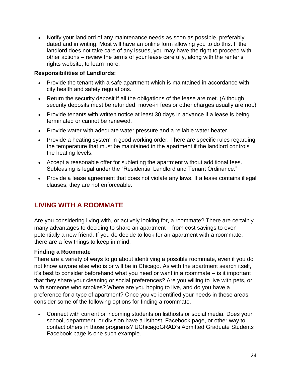Notify your landlord of any maintenance needs as soon as possible, preferably dated and in writing. Most will have an online form allowing you to do this. If the landlord does not take care of any issues, you may have the right to proceed with other actions – review the terms of your lease carefully, along with the renter's rights website, to learn more.

#### **Responsibilities of Landlords:**

- Provide the tenant with a safe apartment which is maintained in accordance with city health and safety regulations.
- Return the security deposit if all the obligations of the lease are met. (Although security deposits must be refunded, move-in fees or other charges usually are not.)
- Provide tenants with written notice at least 30 days in advance if a lease is being terminated or cannot be renewed.
- Provide water with adequate water pressure and a reliable water heater.
- Provide a heating system in good working order. There are specific rules regarding the temperature that must be maintained in the apartment if the landlord controls the heating levels.
- Accept a reasonable offer for subletting the apartment without additional fees. Subleasing is legal under the "Residential Landlord and Tenant Ordinance."
- Provide a lease agreement that does not violate any laws. If a lease contains illegal clauses, they are not enforceable.

# **LIVING WITH A ROOMMATE**

Are you considering living with, or actively looking for, a roommate? There are certainly many advantages to deciding to share an apartment – from cost savings to even potentially a new friend. If you do decide to look for an apartment with a roommate, there are a few things to keep in mind.

#### **Finding a Roommate**

There are a variety of ways to go about identifying a possible roommate, even if you do not know anyone else who is or will be in Chicago. As with the apartment search itself, it's best to consider beforehand what you need or want in a roommate – is it important that they share your cleaning or social preferences? Are you willing to live with pets, or with someone who smokes? Where are you hoping to live, and do you have a preference for a type of apartment? Once you've identified your needs in these areas, consider some of the following options for finding a roommate.

 Connect with current or incoming students on listhosts or social media. Does your school, department, or division have a listhost, Facebook page, or other way to contact others in those programs? UChicagoGRAD's Admitted Graduate Students Facebook page is one such example.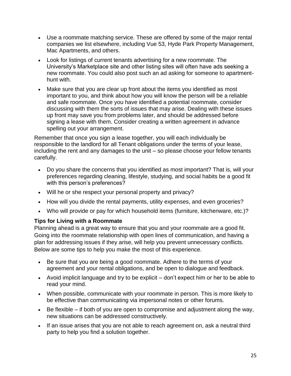- Use a roommate matching service. These are offered by some of the major rental companies we list elsewhere, including Vue 53, Hyde Park Property Management, Mac Apartments, and others.
- Look for listings of current tenants advertising for a new roommate. The University's Marketplace site and other listing sites will often have ads seeking a new roommate. You could also post such an ad asking for someone to apartmenthunt with.
- Make sure that you are clear up front about the items you identified as most important to you, and think about how you will know the person will be a reliable and safe roommate. Once you have identified a potential roommate, consider discussing with them the sorts of issues that may arise. Dealing with these issues up front may save you from problems later, and should be addressed before signing a lease with them. Consider creating a written agreement in advance spelling out your arrangement.

Remember that once you sign a lease together, you will each individually be responsible to the landlord for all Tenant obligations under the terms of your lease, including the rent and any damages to the unit – so please choose your fellow tenants carefully.

- Do you share the concerns that you identified as most important? That is, will your preferences regarding cleaning, lifestyle, studying, and social habits be a good fit with this person's preferences?
- Will he or she respect your personal property and privacy?
- How will you divide the rental payments, utility expenses, and even groceries?
- Who will provide or pay for which household items (furniture, kitchenware, etc.)?

# **Tips for Living with a Roommate**

Planning ahead is a great way to ensure that you and your roommate are a good fit. Going into the roommate relationship with open lines of communication, and having a plan for addressing issues if they arise, will help you prevent unnecessary conflicts. Below are some tips to help you make the most of this experience.

- Be sure that you are being a good roommate. Adhere to the terms of your agreement and your rental obligations, and be open to dialogue and feedback.
- Avoid implicit language and try to be explicit don't expect him or her to be able to read your mind.
- When possible, communicate with your roommate in person. This is more likely to be effective than communicating via impersonal notes or other forums.
- Be flexible if both of you are open to compromise and adjustment along the way, new situations can be addressed constructively.
- If an issue arises that you are not able to reach agreement on, ask a neutral third party to help you find a solution together.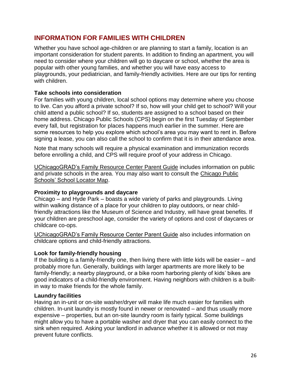# **INFORMATION FOR FAMILIES WITH CHILDREN**

Whether you have school age-children or are planning to start a family, location is an important consideration for student parents. In addition to finding an apartment, you will need to consider where your children will go to daycare or school, whether the area is popular with other young families, and whether you will have easy access to playgrounds, your pediatrician, and family-friendly activities. Here are our tips for renting with children.

#### **Take schools into consideration**

For families with young children, local school options may determine where you choose to live. Can you afford a private school? If so, how will your child get to school? Will your child attend a public school? If so, students are assigned to a school based on their home address. Chicago Public Schools (CPS) begin on the first Tuesday of September every fall, but registration for places happens much earlier in the summer. Here are some resources to help you explore which school's area you may want to rent in. Before signing a lease, you can also call the school to confirm that it is in their attendance area.

Note that many schools will require a physical examination and immunization records before enrolling a child, and CPS will require proof of your address in Chicago.

[UChicagoGRAD's Family Resource Center Parent Guide](https://grad.uchicago.edu/sites/default/files/parent-resource-guide.pdf) includes information on public and private schools in the area. You may also want to consult the [Chicago Public](http://cps.edu/ScriptLibrary/Map-SchoolLocator2015/index.html)  [Schools' School Locator Map.](http://cps.edu/ScriptLibrary/Map-SchoolLocator2015/index.html)

#### **Proximity to playgrounds and daycare**

Chicago – and Hyde Park – boasts a wide variety of parks and playgrounds. Living within walking distance of a place for your children to play outdoors, or near childfriendly attractions like the Museum of Science and Industry, will have great benefits. If your children are preschool age, consider the variety of options and cost of daycares or childcare co-ops.

[UChicagoGRAD's Family Resource Center Parent Guide](https://grad.uchicago.edu/life-community/housing/searching/sites/default/files/parent-resource-guide.pdf) also includes information on childcare options and child-friendly attractions.

#### **Look for family-friendly housing**

If the building is a family-friendly one, then living there with little kids will be easier – and probably more fun. Generally, buildings with larger apartments are more likely to be family-friendly; a nearby playground, or a bike room harboring plenty of kids' bikes are good indicators of a child-friendly environment. Having neighbors with children is a builtin way to make friends for the whole family.

#### **Laundry facilities**

Having an in-unit or on-site washer/dryer will make life much easier for families with children. In-unit laundry is mostly found in newer or renovated – and thus usually more expensive – properties, but an on-site laundry room is fairly typical. Some buildings might allow you to have a portable washer and dryer that you can easily connect to the sink when required. Asking your landlord in advance whether it is allowed or not may prevent future conflicts.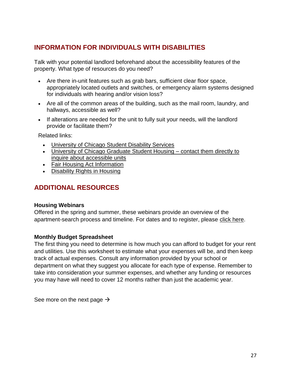# **INFORMATION FOR INDIVIDUALS WITH DISABILITIES**

Talk with your potential landlord beforehand about the accessibility features of the property. What type of resources do you need?

- Are there in-unit features such as grab bars, sufficient clear floor space, appropriately located outlets and switches, or emergency alarm systems designed for individuals with hearing and/or vision loss?
- Are all of the common areas of the building, such as the mail room, laundry, and hallways, accessible as well?
- If alterations are needed for the unit to fully suit your needs, will the landlord provide or facilitate them?

Related links:

- [University of Chicago Student Disability Services](https://disabilities.uchicago.edu/)
- [University of Chicago Graduate Student Housing –](https://rp.uchicago.edu/graduate_housing/) contact them directly to [inquire about accessible units](https://rp.uchicago.edu/graduate_housing/)
- [Fair Housing Act Information](http://portal.hud.gov/hudportal/HUD?src=/program_offices/fair_housing_equal_opp/FHLaws/yourrights)
- [Disability Rights in Housing](http://portal.hud.gov/hudportal/HUD?src=/program_offices/fair_housing_equal_opp/disabilities/inhousing)

# **ADDITIONAL RESOURCES**

#### **Housing Webinars**

Offered in the spring and summer, these webinars provide an overview of the apartment-search process and timeline. For dates and to register, please [click here.](https://apply-grad.uchicago.edu/portal/housingwebinar)

#### **Monthly Budget Spreadsheet**

The first thing you need to determine is how much you can afford to budget for your rent and utilities. Use this worksheet to estimate what your expenses will be, and then keep track of actual expenses. Consult any information provided by your school or department on what they suggest you allocate for each type of expense. Remember to take into consideration your summer expenses, and whether any funding or resources you may have will need to cover 12 months rather than just the academic year.

See more on the next page  $\rightarrow$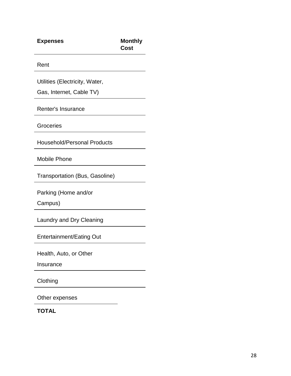| <b>Expenses</b>                       | <b>Monthly</b><br>Cost |
|---------------------------------------|------------------------|
| Rent                                  |                        |
| Utilities (Electricity, Water,        |                        |
| Gas, Internet, Cable TV)              |                        |
| Renter's Insurance                    |                        |
| Groceries                             |                        |
| <b>Household/Personal Products</b>    |                        |
| <b>Mobile Phone</b>                   |                        |
| <b>Transportation (Bus, Gasoline)</b> |                        |
| Parking (Home and/or                  |                        |
| Campus)                               |                        |
| Laundry and Dry Cleaning              |                        |
| <b>Entertainment/Eating Out</b>       |                        |
| Health, Auto, or Other                |                        |
| Insurance                             |                        |
| Clothing                              |                        |

Other expenses

**TOTAL**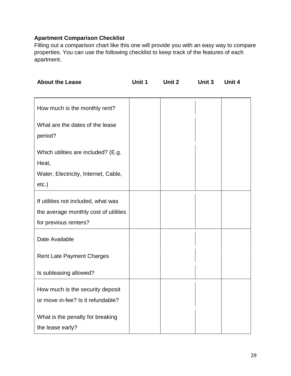## **Apartment Comparison Checklist**

Filling out a comparison chart like this one will provide you with an easy way to compare properties. You can use the following checklist to keep track of the features of each apartment.

| <b>About the Lease</b>                                                                                | Unit 1 | Unit 2 | Unit 3 | Unit 4 |
|-------------------------------------------------------------------------------------------------------|--------|--------|--------|--------|
| How much is the monthly rent?                                                                         |        |        |        |        |
| What are the dates of the lease<br>period?                                                            |        |        |        |        |
| Which utilities are included? (E.g.<br>Heat,<br>Water, Electricity, Internet, Cable,<br>$etc.$ )      |        |        |        |        |
| If utilities not included, what was<br>the average monthly cost of utilities<br>for previous renters? |        |        |        |        |
| Date Available                                                                                        |        |        |        |        |
| <b>Rent Late Payment Charges</b>                                                                      |        |        |        |        |
| Is subleasing allowed?                                                                                |        |        |        |        |
| How much is the security deposit<br>or move in-fee? Is it refundable?                                 |        |        |        |        |
| What is the penalty for breaking<br>the lease early?                                                  |        |        |        |        |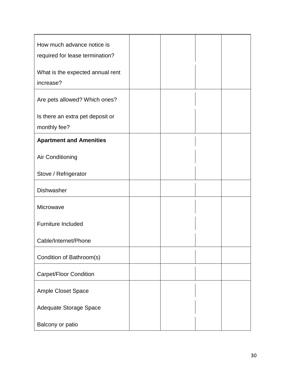| How much advance notice is<br>required for lease termination? |  |  |
|---------------------------------------------------------------|--|--|
| What is the expected annual rent<br>increase?                 |  |  |
| Are pets allowed? Which ones?                                 |  |  |
| Is there an extra pet deposit or<br>monthly fee?              |  |  |
| <b>Apartment and Amenities</b>                                |  |  |
| <b>Air Conditioning</b>                                       |  |  |
| Stove / Refrigerator                                          |  |  |
| Dishwasher                                                    |  |  |
| Microwave                                                     |  |  |
| <b>Furniture Included</b>                                     |  |  |
| Cable/Internet/Phone                                          |  |  |
| Condition of Bathroom(s)                                      |  |  |
| Carpet/Floor Condition                                        |  |  |
| Ample Closet Space                                            |  |  |
| Adequate Storage Space                                        |  |  |
| Balcony or patio                                              |  |  |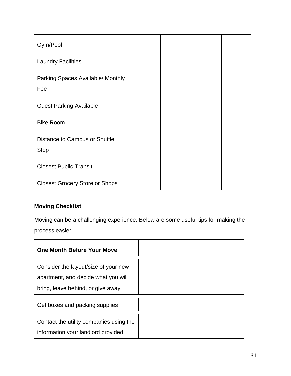| Gym/Pool                                     |  |  |
|----------------------------------------------|--|--|
| <b>Laundry Facilities</b>                    |  |  |
| Parking Spaces Available/ Monthly<br>Fee     |  |  |
| <b>Guest Parking Available</b>               |  |  |
| <b>Bike Room</b>                             |  |  |
| Distance to Campus or Shuttle<br><b>Stop</b> |  |  |
| <b>Closest Public Transit</b>                |  |  |
| <b>Closest Grocery Store or Shops</b>        |  |  |

# **Moving Checklist**

Moving can be a challenging experience. Below are some useful tips for making the process easier.

| <b>One Month Before Your Move</b>       |
|-----------------------------------------|
| Consider the layout/size of your new    |
| apartment, and decide what you will     |
| bring, leave behind, or give away       |
| Get boxes and packing supplies          |
| Contact the utility companies using the |
| information your landlord provided      |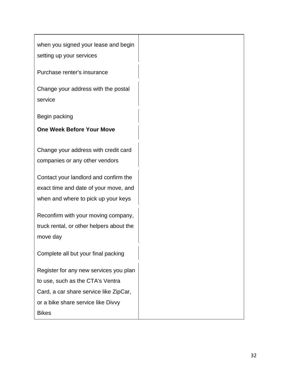when you signed your lease and begin setting up your services

Purchase renter's insurance

Change your address with the postal service

Begin packing

## **One Week Before Your Move**

Change your address with credit card companies or any other vendors

Contact your landlord and confirm the exact time and date of your move, and when and where to pick up your keys

Reconfirm with your moving company, truck rental, or other helpers about the move day

Complete all but your final packing

Register for any new services you plan to use, such as the CTA's Ventra Card, a car share service like ZipCar, or a bike share service like Divvy Bikes